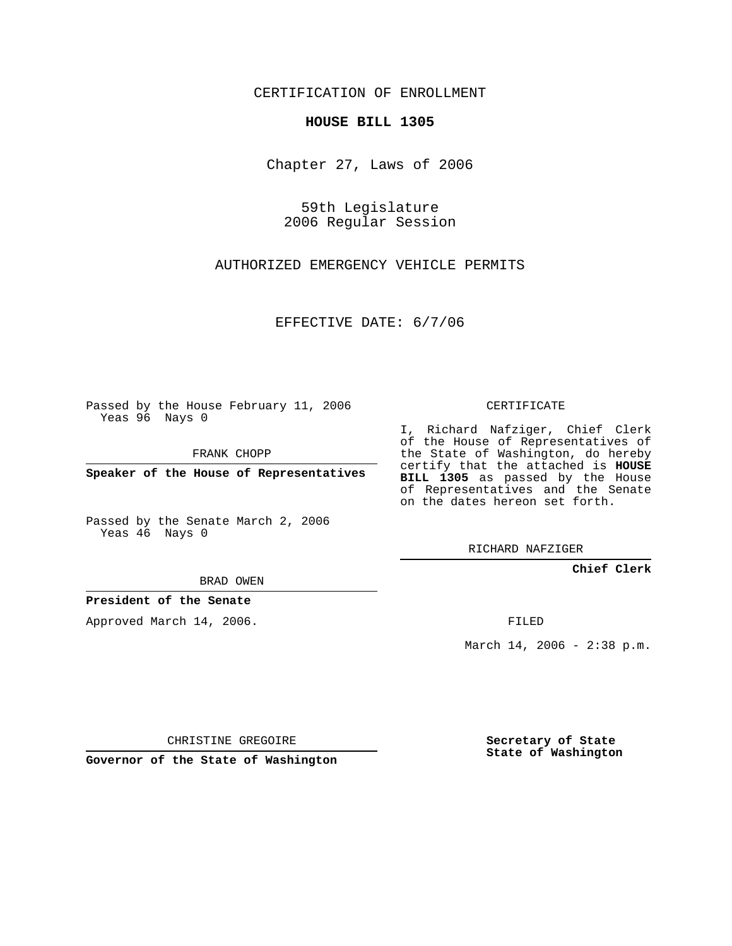CERTIFICATION OF ENROLLMENT

## **HOUSE BILL 1305**

Chapter 27, Laws of 2006

59th Legislature 2006 Regular Session

AUTHORIZED EMERGENCY VEHICLE PERMITS

EFFECTIVE DATE: 6/7/06

Passed by the House February 11, 2006 Yeas 96 Nays 0

FRANK CHOPP

**Speaker of the House of Representatives**

Passed by the Senate March 2, 2006 Yeas 46 Nays 0

I, Richard Nafziger, Chief Clerk

of the House of Representatives of the State of Washington, do hereby certify that the attached is **HOUSE BILL 1305** as passed by the House of Representatives and the Senate on the dates hereon set forth.

CERTIFICATE

RICHARD NAFZIGER

**Chief Clerk**

BRAD OWEN

**President of the Senate**

Approved March 14, 2006.

FILED

March 14, 2006 - 2:38 p.m.

CHRISTINE GREGOIRE

**Governor of the State of Washington**

**Secretary of State State of Washington**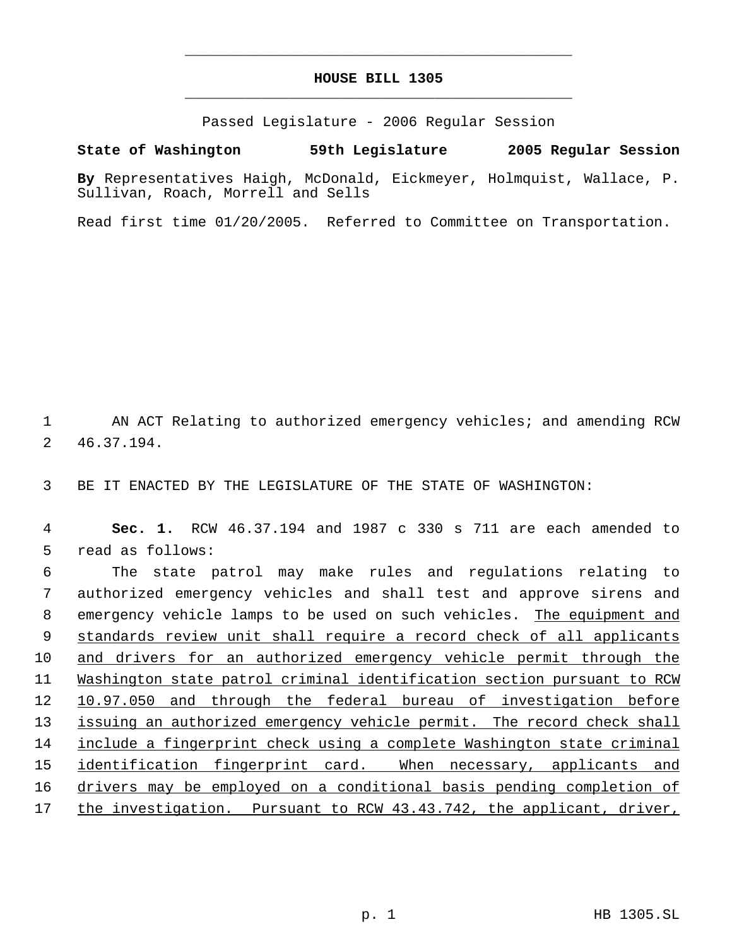## **HOUSE BILL 1305** \_\_\_\_\_\_\_\_\_\_\_\_\_\_\_\_\_\_\_\_\_\_\_\_\_\_\_\_\_\_\_\_\_\_\_\_\_\_\_\_\_\_\_\_\_

\_\_\_\_\_\_\_\_\_\_\_\_\_\_\_\_\_\_\_\_\_\_\_\_\_\_\_\_\_\_\_\_\_\_\_\_\_\_\_\_\_\_\_\_\_

Passed Legislature - 2006 Regular Session

## **State of Washington 59th Legislature 2005 Regular Session**

**By** Representatives Haigh, McDonald, Eickmeyer, Holmquist, Wallace, P. Sullivan, Roach, Morrell and Sells

Read first time 01/20/2005. Referred to Committee on Transportation.

1 AN ACT Relating to authorized emergency vehicles; and amending RCW 2 46.37.194.

3 BE IT ENACTED BY THE LEGISLATURE OF THE STATE OF WASHINGTON:

 4 **Sec. 1.** RCW 46.37.194 and 1987 c 330 s 711 are each amended to 5 read as follows:

 The state patrol may make rules and regulations relating to authorized emergency vehicles and shall test and approve sirens and 8 emergency vehicle lamps to be used on such vehicles. The equipment and standards review unit shall require a record check of all applicants and drivers for an authorized emergency vehicle permit through the Washington state patrol criminal identification section pursuant to RCW 10.97.050 and through the federal bureau of investigation before 13 issuing an authorized emergency vehicle permit. The record check shall include a fingerprint check using a complete Washington state criminal identification fingerprint card. When necessary, applicants and drivers may be employed on a conditional basis pending completion of the investigation. Pursuant to RCW 43.43.742, the applicant, driver,